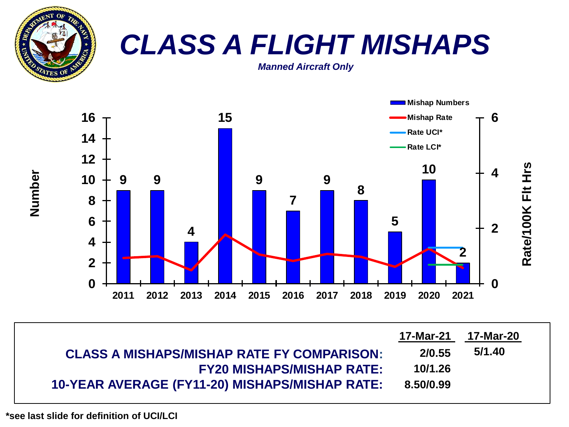

# *CLASS A FLIGHT MISHAPS*

*Manned Aircraft Only*



| <b>CLASS A MISHAPS/MISHAP RATE FY COMPARISON:</b> | 2/0.55    | 5/1.40 |
|---------------------------------------------------|-----------|--------|
| <b>FY20 MISHAPS/MISHAP RATE:</b>                  | 10/1.26   |        |
| 10-YEAR AVERAGE (FY11-20) MISHAPS/MISHAP RATE:    | 8.50/0.99 |        |

**Number**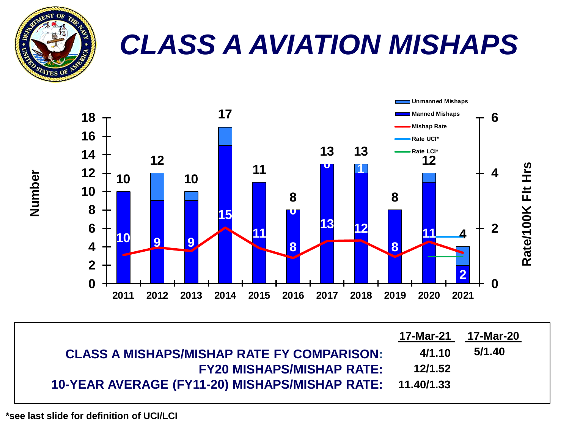

## *CLASS A AVIATION MISHAPS*



| <b>CLASS A MISHAPS/MISHAP RATE FY COMPARISON:</b>         | 4/1.10  | 5/1.40 |
|-----------------------------------------------------------|---------|--------|
| <b>FY20 MISHAPS/MISHAP RATE:</b>                          | 12/1.52 |        |
| 10-YEAR AVERAGE (FY11-20) MISHAPS/MISHAP RATE: 11.40/1.33 |         |        |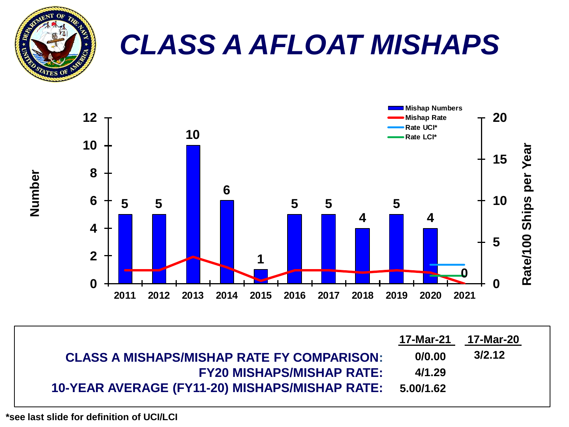

### *CLASS A AFLOAT MISHAPS*



| <b>CLASS A MISHAPS/MISHAP RATE FY COMPARISON:</b>        | 0/0.00 | 3/2.12 |
|----------------------------------------------------------|--------|--------|
| <b>FY20 MISHAPS/MISHAP RATE:</b>                         | 4/1.29 |        |
| 10-YEAR AVERAGE (FY11-20) MISHAPS/MISHAP RATE: 5.00/1.62 |        |        |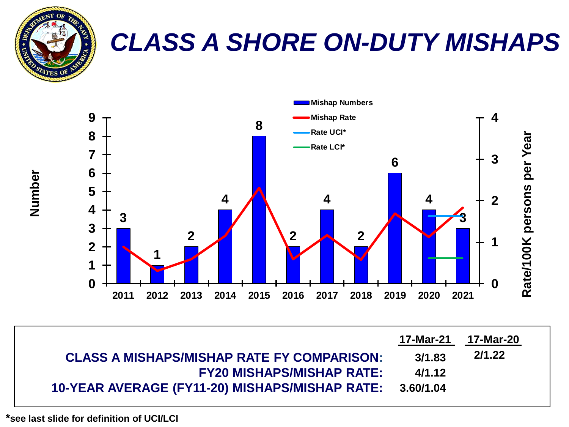

#### *CLASS A SHORE ON-DUTY MISHAPS*



| <b>CLASS A MISHAPS/MISHAP RATE FY COMPARISON:</b>        | 3/1.83 | 2/1.22 |
|----------------------------------------------------------|--------|--------|
| <b>FY20 MISHAPS/MISHAP RATE:</b>                         | 4/1.12 |        |
| 10-YEAR AVERAGE (FY11-20) MISHAPS/MISHAP RATE: 3.60/1.04 |        |        |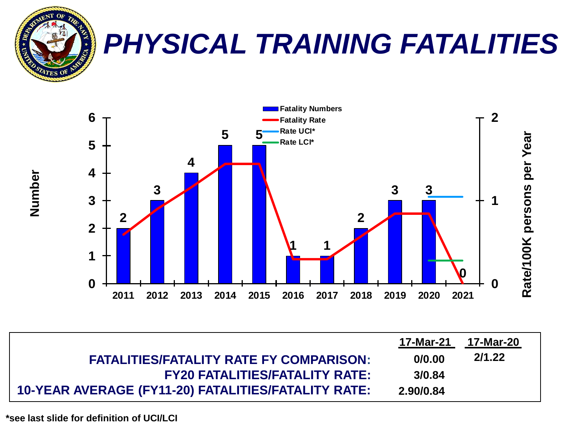

## *PHYSICAL TRAINING FATALITIES*



| <b>FATALITIES/FATALITY RATE FY COMPARISON:</b>      | 0/0.00    | 2/1.22 |  |
|-----------------------------------------------------|-----------|--------|--|
| <b>FY20 FATALITIES/FATALITY RATE:</b>               | 3/0.84    |        |  |
| 10-YEAR AVERAGE (FY11-20) FATALITIES/FATALITY RATE: | 2.90/0.84 |        |  |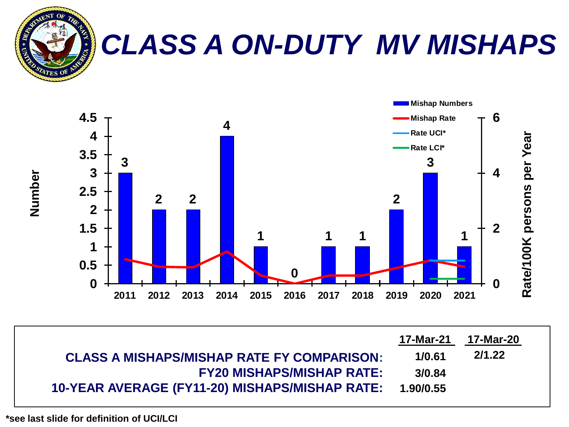

# *CLASS A ON-DUTY MV MISHAPS*



| <b>CLASS A MISHAPS/MISHAP RATE FY COMPARISON:</b>        | 1/0.61 | 2/1.22 |
|----------------------------------------------------------|--------|--------|
| <b>FY20 MISHAPS/MISHAP RATE:</b>                         | 3/0.84 |        |
| 10-YEAR AVERAGE (FY11-20) MISHAPS/MISHAP RATE: 1.90/0.55 |        |        |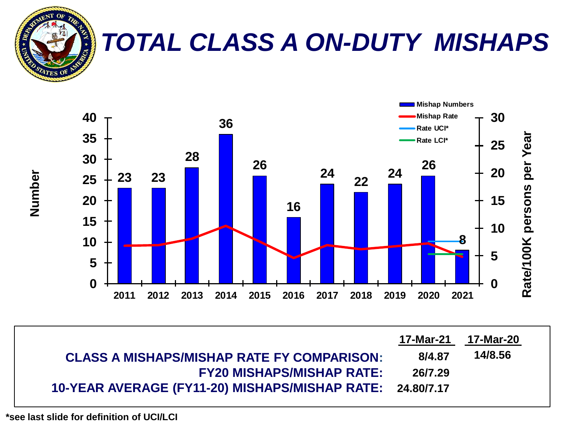

### *TOTAL CLASS A ON-DUTY MISHAPS*



| <b>CLASS A MISHAPS/MISHAP RATE FY COMPARISON:</b>         | 8/4.87  | 14/8.56 |
|-----------------------------------------------------------|---------|---------|
| <b>FY20 MISHAPS/MISHAP RATE:</b>                          | 26/7.29 |         |
| 10-YEAR AVERAGE (FY11-20) MISHAPS/MISHAP RATE: 24.80/7.17 |         |         |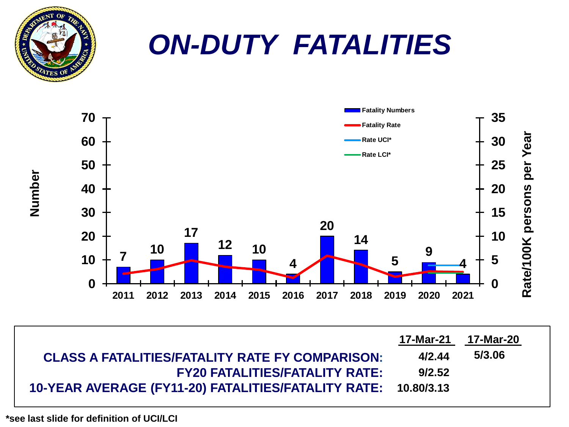



| <b>CLASS A FATALITIES/FATALITY RATE FY COMPARISON:</b>         | 4/2.44 | 5/3.06 |
|----------------------------------------------------------------|--------|--------|
| <b>FY20 FATALITIES/FATALITY RATE:</b>                          | 9/2.52 |        |
| 10-YEAR AVERAGE (FY11-20) FATALITIES/FATALITY RATE: 10.80/3.13 |        |        |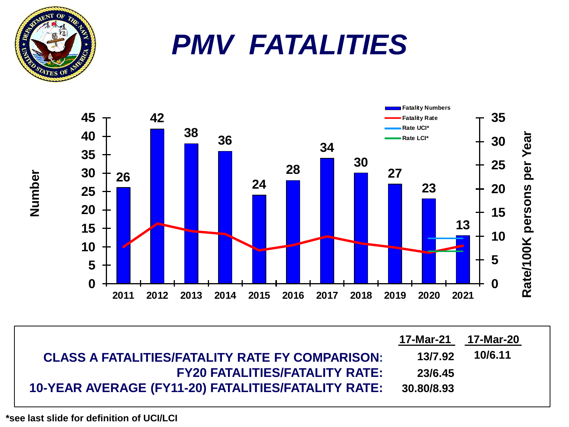

## *PMV FATALITIES*



| <b>CLASS A FATALITIES/FATALITY RATE FY COMPARISON:</b> | 13/7.92    | 10/6.11 |
|--------------------------------------------------------|------------|---------|
| <b>FY20 FATALITIES/FATALITY RATE:</b>                  | 23/6.45    |         |
| 10-YEAR AVERAGE (FY11-20) FATALITIES/FATALITY RATE:    | 30.80/8.93 |         |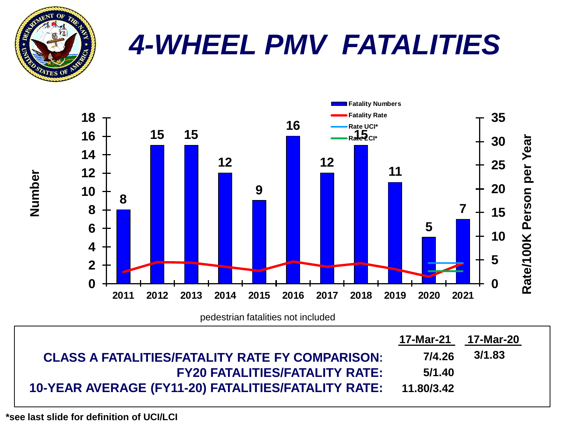

### *4-WHEEL PMV FATALITIES*



**10-YEAR AVERAGE (FY11-20) FATALITIES/FATALITY RATE: 11.80/3.42**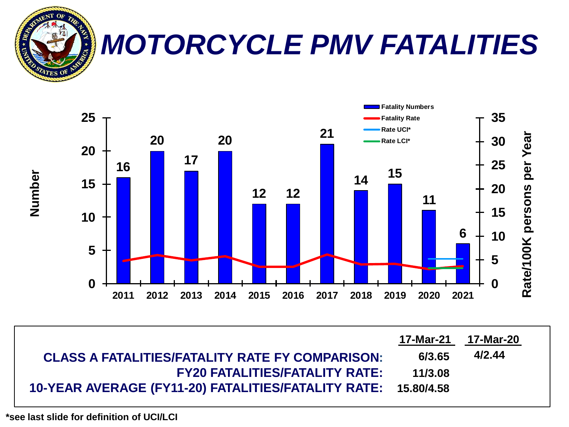

## *MOTORCYCLE PMV FATALITIES*



| <b>CLASS A FATALITIES/FATALITY RATE FY COMPARISON:</b>         | 6/3.65  | 4/2.44 |
|----------------------------------------------------------------|---------|--------|
| <b>FY20 FATALITIES/FATALITY RATE:</b>                          | 11/3.08 |        |
| 10-YEAR AVERAGE (FY11-20) FATALITIES/FATALITY RATE: 15.80/4.58 |         |        |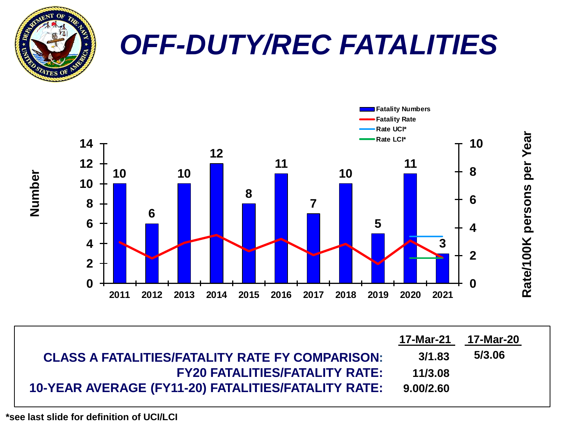

## *OFF-DUTY/REC FATALITIES*



| <b>CLASS A FATALITIES/FATALITY RATE FY COMPARISON:</b> | 3/1.83    | 5/3.06 |
|--------------------------------------------------------|-----------|--------|
| <b>FY20 FATALITIES/FATALITY RATE:</b>                  | 11/3.08   |        |
| 10-YEAR AVERAGE (FY11-20) FATALITIES/FATALITY RATE:    | 9.00/2.60 |        |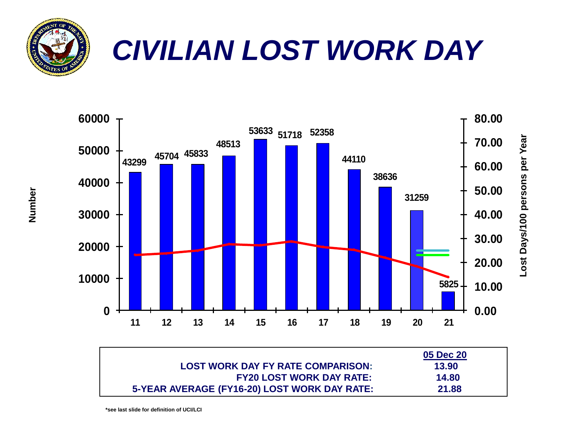

# *CIVILIAN LOST WORK DAY*



|                                              | 05 Dec 20 |
|----------------------------------------------|-----------|
| <b>LOST WORK DAY FY RATE COMPARISON:</b>     | 13.90     |
| <b>FY20 LOST WORK DAY RATE:</b>              | 14.80     |
| 5-YEAR AVERAGE (FY16-20) LOST WORK DAY RATE: | 21.88     |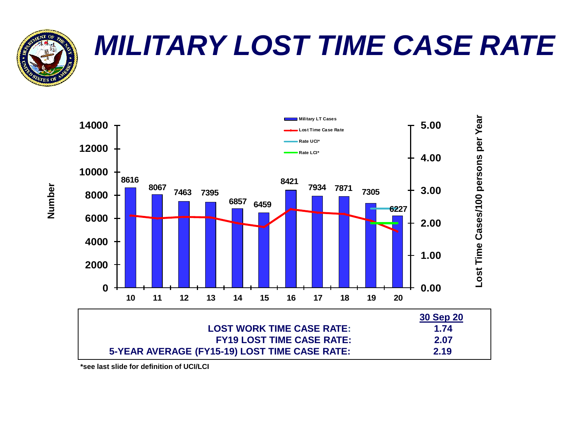

# *MILITARY LOST TIME CASE RATE*

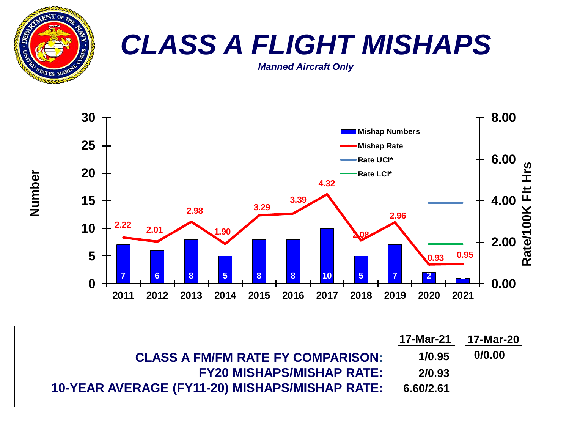

### *CLASS A FLIGHT MISHAPS*

*Manned Aircraft Only*



| <b>CLASS A FM/FM RATE FY COMPARISON:</b>       | 1/0.95    | 0/0.00 |
|------------------------------------------------|-----------|--------|
| <b>FY20 MISHAPS/MISHAP RATE:</b>               | 2/0.93    |        |
| 10-YEAR AVERAGE (FY11-20) MISHAPS/MISHAP RATE: | 6.60/2.61 |        |

**Number**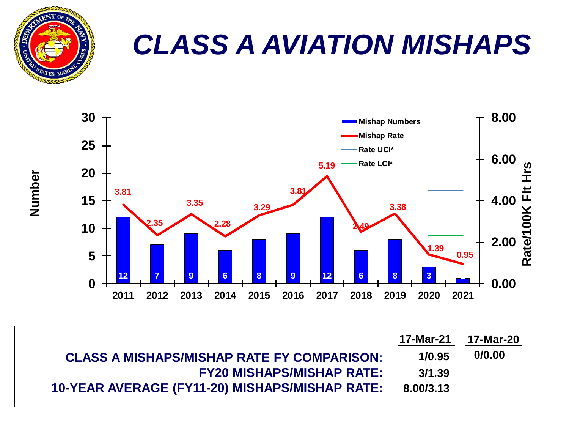

# *CLASS A AVIATION MISHAPS*



| <b>CLASS A MISHAPS/MISHAP RATE FY COMPARISON:</b>     | 1/0.95    | 0/0.00 |
|-------------------------------------------------------|-----------|--------|
| <b>FY20 MISHAPS/MISHAP RATE:</b>                      | 3/1.39    |        |
| <b>10-YEAR AVERAGE (FY11-20) MISHAPS/MISHAP RATE:</b> | 8.00/3.13 |        |

**Number**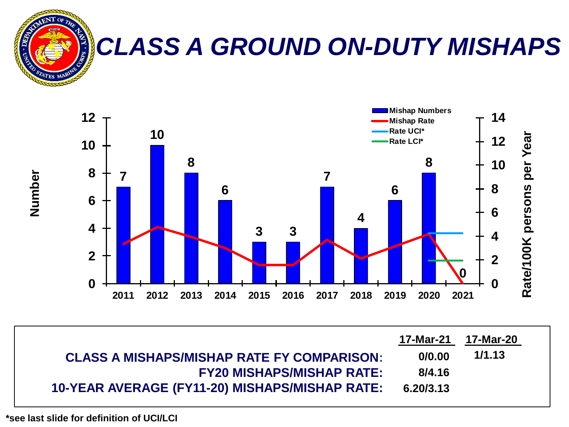

### *CLASS A GROUND ON-DUTY MISHAPS*



| <b>CLASS A MISHAPS/MISHAP RATE FY COMPARISON:</b> | 0/0.00    | 1/1.13 |
|---------------------------------------------------|-----------|--------|
| <b>FY20 MISHAPS/MISHAP RATE:</b>                  | 8/4.16    |        |
| 10-YEAR AVERAGE (FY11-20) MISHAPS/MISHAP RATE:    | 6.20/3.13 |        |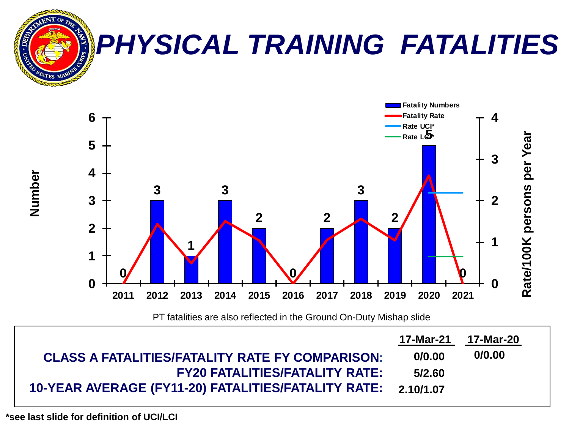

PT fatalities are also reflected in the Ground On-Duty Mishap slide

| <b>CLASS A FATALITIES/FATALITY RATE FY COMPARISON:</b>        | 0/0.00 | 0/0.00 |  |
|---------------------------------------------------------------|--------|--------|--|
| <b>FY20 FATALITIES/FATALITY RATE:</b>                         | 5/2.60 |        |  |
| 10-YEAR AVERAGE (FY11-20) FATALITIES/FATALITY RATE: 2.10/1.07 |        |        |  |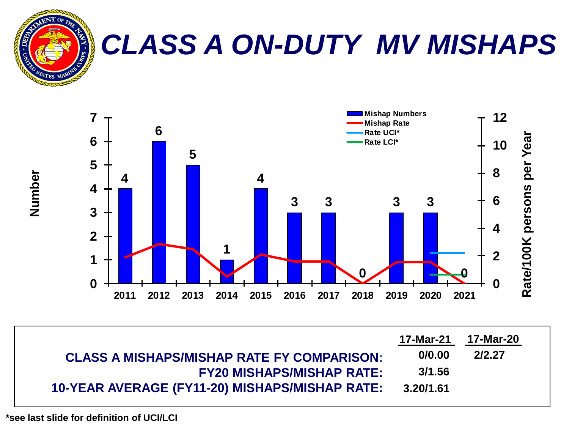

## *CLASS A ON-DUTY MV MISHAPS*



| <b>CLASS A MISHAPS/MISHAP RATE FY COMPARISON:</b>     | 0/0.00    | 2/2.27 |
|-------------------------------------------------------|-----------|--------|
| <b>FY20 MISHAPS/MISHAP RATE:</b>                      | 3/1.56    |        |
| <b>10-YEAR AVERAGE (FY11-20) MISHAPS/MISHAP RATE:</b> | 3.20/1.61 |        |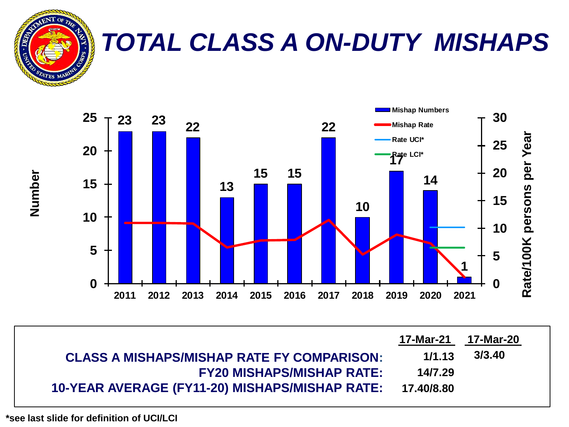

#### *TOTAL CLASS A ON-DUTY MISHAPS*



| <b>CLASS A MISHAPS/MISHAP RATE FY COMPARISON:</b>         | 1/1.13  | 3/3.40 |
|-----------------------------------------------------------|---------|--------|
| <b>FY20 MISHAPS/MISHAP RATE:</b>                          | 14/7.29 |        |
| 10-YEAR AVERAGE (FY11-20) MISHAPS/MISHAP RATE: 17.40/8.80 |         |        |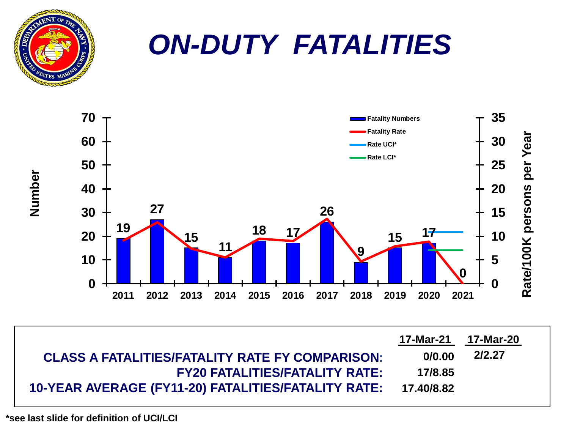

### *ON-DUTY FATALITIES*



| <b>CLASS A FATALITIES/FATALITY RATE FY COMPARISON:</b>         | 0/0.00  | 2/2.27 |
|----------------------------------------------------------------|---------|--------|
| <b>FY20 FATALITIES/FATALITY RATE:</b>                          | 17/8.85 |        |
| 10-YEAR AVERAGE (FY11-20) FATALITIES/FATALITY RATE: 17.40/8.82 |         |        |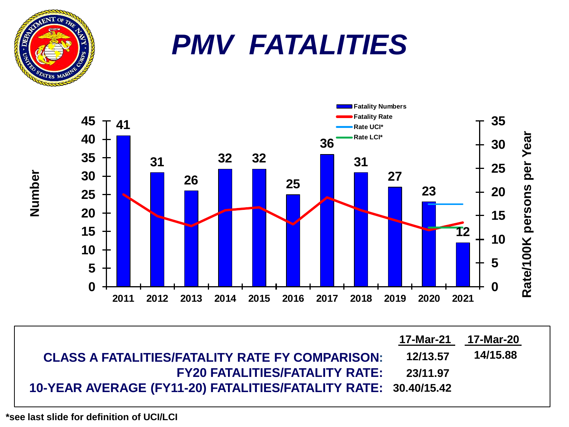# *PMV FATALITIES*



| <b>CLASS A FATALITIES/FATALITY RATE FY COMPARISON:</b>          | 12/13.57 | 14/15.88 |
|-----------------------------------------------------------------|----------|----------|
| <b>FY20 FATALITIES/FATALITY RATE:</b>                           | 23/11.97 |          |
| 10-YEAR AVERAGE (FY11-20) FATALITIES/FATALITY RATE: 30.40/15.42 |          |          |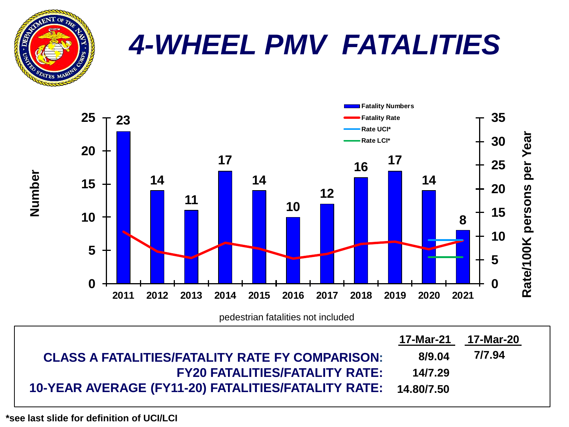

### *4-WHEEL PMV FATALITIES*



| <b>CLASS A FATALITIES/FATALITY RATE FY COMPARISON:</b>         | 8/9.04  | 7/7.94 |
|----------------------------------------------------------------|---------|--------|
| <b>FY20 FATALITIES/FATALITY RATE:</b>                          | 14/7.29 |        |
| 10-YEAR AVERAGE (FY11-20) FATALITIES/FATALITY RATE: 14.80/7.50 |         |        |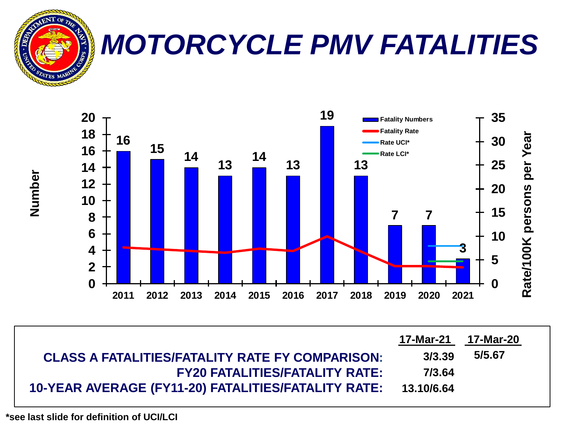

### *MOTORCYCLE PMV FATALITIES*



| <b>CLASS A FATALITIES/FATALITY RATE FY COMPARISON:</b>         | 3/3.39 | 5/5.67 |
|----------------------------------------------------------------|--------|--------|
| <b>FY20 FATALITIES/FATALITY RATE:</b>                          | 7/3.64 |        |
| 10-YEAR AVERAGE (FY11-20) FATALITIES/FATALITY RATE: 13.10/6.64 |        |        |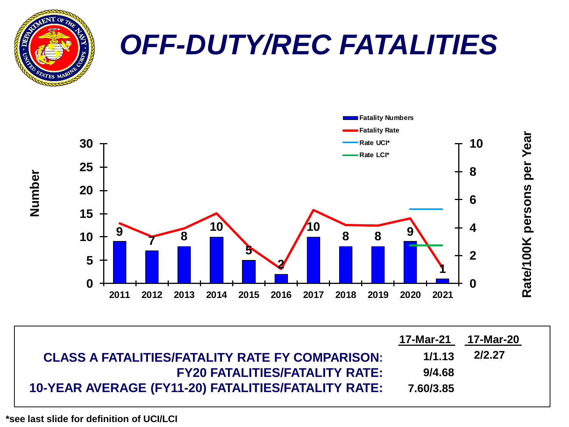

| <b>CLASS A FATALITIES/FATALITY RATE FY COMPARISON:</b> | 1/1.13    | 2/2.27 |
|--------------------------------------------------------|-----------|--------|
| <b>FY20 FATALITIES/FATALITY RATE:</b>                  | 9/4.68    |        |
| 10-YEAR AVERAGE (FY11-20) FATALITIES/FATALITY RATE:    | 7.60/3.85 |        |

**2011 2012 2013 2014 2015 2016 2017 2018 2019 2020 2021**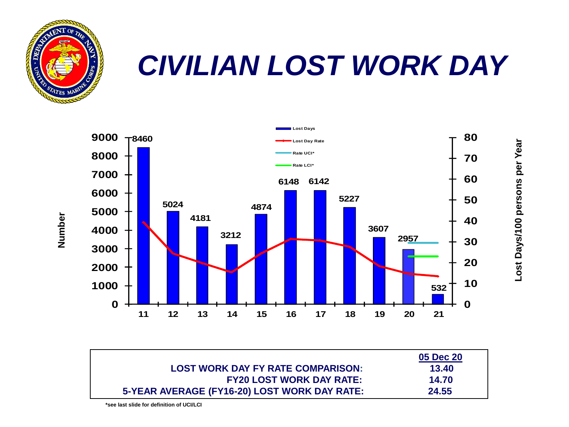

### *CIVILIAN LOST WORK DAY*

**Lost Days/100 persons per Year**

Lost Days/100 persons per Year



|                                              | 05 Dec 20 |
|----------------------------------------------|-----------|
| <b>LOST WORK DAY FY RATE COMPARISON:</b>     | 13.40     |
| <b>FY20 LOST WORK DAY RATE:</b>              | 14.70     |
| 5-YEAR AVERAGE (FY16-20) LOST WORK DAY RATE: | 24.55     |

**Number**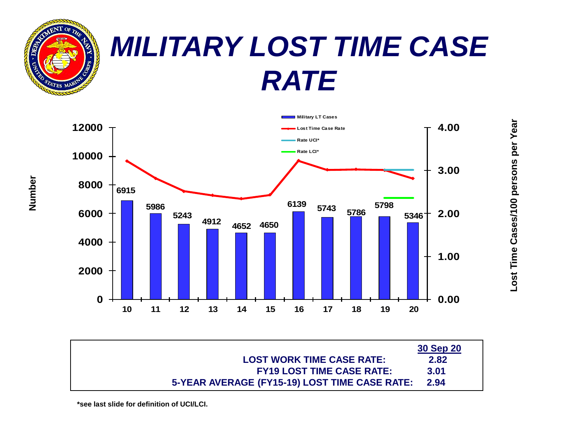

### *MILITARY LOST TIME CASE RATE*



|                                               | 30 Sep 20 |
|-----------------------------------------------|-----------|
| <b>LOST WORK TIME CASE RATE:</b>              | 2.82      |
| <b>FY19 LOST TIME CASE RATE:</b>              | 3.01      |
| 5-YEAR AVERAGE (FY15-19) LOST TIME CASE RATE: | 2.94      |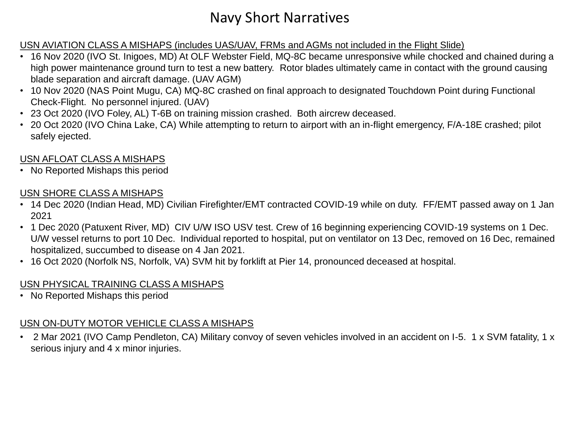#### Navy Short Narratives

#### USN AVIATION CLASS A MISHAPS (includes UAS/UAV, FRMs and AGMs not included in the Flight Slide)

- 16 Nov 2020 (IVO St. Inigoes, MD) At OLF Webster Field, MQ-8C became unresponsive while chocked and chained during a high power maintenance ground turn to test a new battery. Rotor blades ultimately came in contact with the ground causing blade separation and aircraft damage. (UAV AGM)
- 10 Nov 2020 (NAS Point Mugu, CA) MQ-8C crashed on final approach to designated Touchdown Point during Functional Check-Flight. No personnel injured. (UAV)
- 23 Oct 2020 (IVO Foley, AL) T-6B on training mission crashed. Both aircrew deceased.
- 20 Oct 2020 (IVO China Lake, CA) While attempting to return to airport with an in-flight emergency, F/A-18E crashed; pilot safely ejected.

#### USN AFLOAT CLASS A MISHAPS

• No Reported Mishaps this period

#### USN SHORE CLASS A MISHAPS

- 14 Dec 2020 (Indian Head, MD) Civilian Firefighter/EMT contracted COVID-19 while on duty. FF/EMT passed away on 1 Jan 2021
- 1 Dec 2020 (Patuxent River, MD) CIV U/W ISO USV test. Crew of 16 beginning experiencing COVID-19 systems on 1 Dec. U/W vessel returns to port 10 Dec. Individual reported to hospital, put on ventilator on 13 Dec, removed on 16 Dec, remained hospitalized, succumbed to disease on 4 Jan 2021.
- 16 Oct 2020 (Norfolk NS, Norfolk, VA) SVM hit by forklift at Pier 14, pronounced deceased at hospital.

#### USN PHYSICAL TRAINING CLASS A MISHAPS

• No Reported Mishaps this period

#### USN ON-DUTY MOTOR VEHICLE CLASS A MISHAPS

• 2 Mar 2021 (IVO Camp Pendleton, CA) Military convoy of seven vehicles involved in an accident on I-5. 1 x SVM fatality, 1 x serious injury and 4 x minor injuries.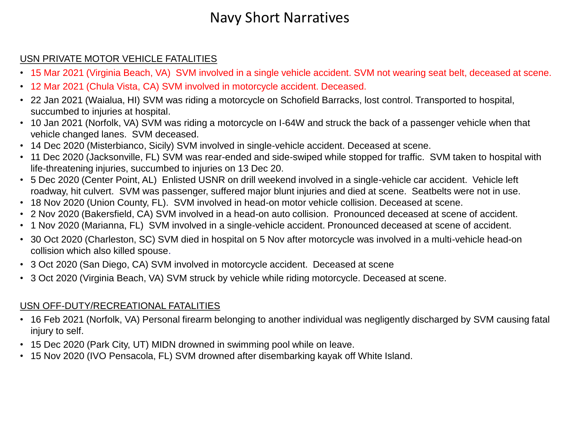#### Navy Short Narratives

#### USN PRIVATE MOTOR VEHICLE FATALITIES

- 15 Mar 2021 (Virginia Beach, VA) SVM involved in a single vehicle accident. SVM not wearing seat belt, deceased at scene.
- 12 Mar 2021 (Chula Vista, CA) SVM involved in motorcycle accident. Deceased.
- 22 Jan 2021 (Waialua, HI) SVM was riding a motorcycle on Schofield Barracks, lost control. Transported to hospital, succumbed to injuries at hospital.
- 10 Jan 2021 (Norfolk, VA) SVM was riding a motorcycle on I-64W and struck the back of a passenger vehicle when that vehicle changed lanes. SVM deceased.
- 14 Dec 2020 (Misterbianco, Sicily) SVM involved in single-vehicle accident. Deceased at scene.
- 11 Dec 2020 (Jacksonville, FL) SVM was rear-ended and side-swiped while stopped for traffic. SVM taken to hospital with life-threatening injuries, succumbed to injuries on 13 Dec 20.
- 5 Dec 2020 (Center Point, AL) Enlisted USNR on drill weekend involved in a single-vehicle car accident. Vehicle left roadway, hit culvert. SVM was passenger, suffered major blunt injuries and died at scene. Seatbelts were not in use.
- 18 Nov 2020 (Union County, FL). SVM involved in head-on motor vehicle collision. Deceased at scene.
- 2 Nov 2020 (Bakersfield, CA) SVM involved in a head-on auto collision. Pronounced deceased at scene of accident.
- 1 Nov 2020 (Marianna, FL) SVM involved in a single-vehicle accident. Pronounced deceased at scene of accident.
- 30 Oct 2020 (Charleston, SC) SVM died in hospital on 5 Nov after motorcycle was involved in a multi-vehicle head-on collision which also killed spouse.
- 3 Oct 2020 (San Diego, CA) SVM involved in motorcycle accident. Deceased at scene
- 3 Oct 2020 (Virginia Beach, VA) SVM struck by vehicle while riding motorcycle. Deceased at scene.

#### USN OFF-DUTY/RECREATIONAL FATALITIES

- 16 Feb 2021 (Norfolk, VA) Personal firearm belonging to another individual was negligently discharged by SVM causing fatal injury to self.
- 15 Dec 2020 (Park City, UT) MIDN drowned in swimming pool while on leave.
- 15 Nov 2020 (IVO Pensacola, FL) SVM drowned after disembarking kayak off White Island.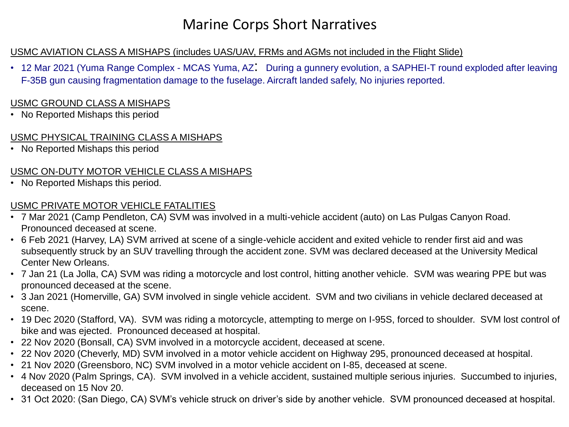#### Marine Corps Short Narratives

#### USMC AVIATION CLASS A MISHAPS (includes UAS/UAV, FRMs and AGMs not included in the Flight Slide)

• 12 Mar 2021 (Yuma Range Complex - MCAS Yuma, AZ: During a gunnery evolution, a SAPHEI-T round exploded after leaving F-35B gun causing fragmentation damage to the fuselage. Aircraft landed safely, No injuries reported.

#### USMC GROUND CLASS A MISHAPS

• No Reported Mishaps this period

#### USMC PHYSICAL TRAINING CLASS A MISHAPS

• No Reported Mishaps this period

#### USMC ON-DUTY MOTOR VEHICLE CLASS A MISHAPS

• No Reported Mishaps this period.

#### USMC PRIVATE MOTOR VEHICLE FATALITIES

- 7 Mar 2021 (Camp Pendleton, CA) SVM was involved in a multi-vehicle accident (auto) on Las Pulgas Canyon Road. Pronounced deceased at scene.
- 6 Feb 2021 (Harvey, LA) SVM arrived at scene of a single-vehicle accident and exited vehicle to render first aid and was subsequently struck by an SUV travelling through the accident zone. SVM was declared deceased at the University Medical Center New Orleans.
- 7 Jan 21 (La Jolla, CA) SVM was riding a motorcycle and lost control, hitting another vehicle. SVM was wearing PPE but was pronounced deceased at the scene.
- 3 Jan 2021 (Homerville, GA) SVM involved in single vehicle accident. SVM and two civilians in vehicle declared deceased at scene.
- 19 Dec 2020 (Stafford, VA). SVM was riding a motorcycle, attempting to merge on I-95S, forced to shoulder. SVM lost control of bike and was ejected. Pronounced deceased at hospital.
- 22 Nov 2020 (Bonsall, CA) SVM involved in a motorcycle accident, deceased at scene.
- 22 Nov 2020 (Cheverly, MD) SVM involved in a motor vehicle accident on Highway 295, pronounced deceased at hospital.
- 21 Nov 2020 (Greensboro, NC) SVM involved in a motor vehicle accident on I-85, deceased at scene.
- 4 Nov 2020 (Palm Springs, CA). SVM involved in a vehicle accident, sustained multiple serious injuries. Succumbed to injuries, deceased on 15 Nov 20.
- 31 Oct 2020: (San Diego, CA) SVM's vehicle struck on driver's side by another vehicle. SVM pronounced deceased at hospital.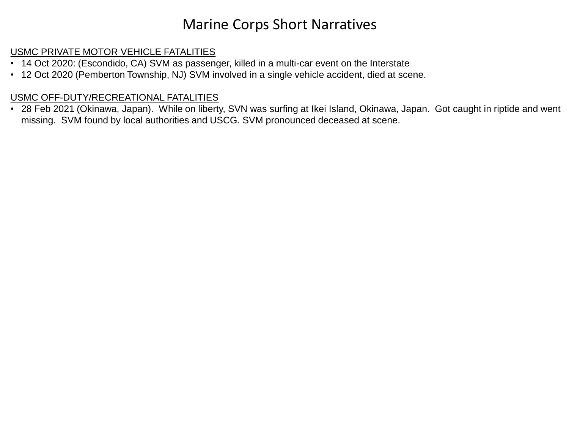#### Marine Corps Short Narratives

#### USMC PRIVATE MOTOR VEHICLE FATALITIES

- 14 Oct 2020: (Escondido, CA) SVM as passenger, killed in a multi-car event on the Interstate
- 12 Oct 2020 (Pemberton Township, NJ) SVM involved in a single vehicle accident, died at scene.

#### USMC OFF-DUTY/RECREATIONAL FATALITIES

• 28 Feb 2021 (Okinawa, Japan). While on liberty, SVN was surfing at Ikei Island, Okinawa, Japan. Got caught in riptide and went missing. SVM found by local authorities and USCG. SVM pronounced deceased at scene.